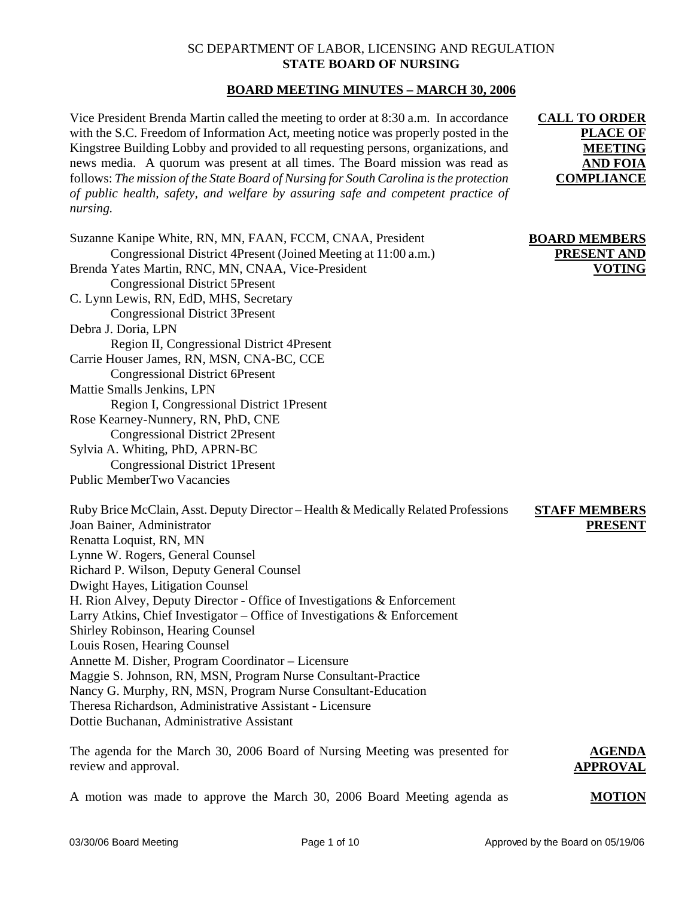## SC DEPARTMENT OF LABOR, LICENSING AND REGULATION **STATE BOARD OF NURSING**

## **BOARD MEETING MINUTES – MARCH 30, 2006**

Vice President Brenda Martin called the meeting to order at 8:30 a.m. In accordance with the S.C. Freedom of Information Act, meeting notice was properly posted in the Kingstree Building Lobby and provided to all requesting persons, organizations, and news media. A quorum was present at all times. The Board mission was read as follows: *The mission of the State Board of Nursing for South Carolina is the protection of public health, safety, and welfare by assuring safe and competent practice of nursing.*

| Suzanne Kanipe White, RN, MN, FAAN, FCCM, CNAA, President<br>Congressional District 4Present (Joined Meeting at 11:00 a.m.)<br>Brenda Yates Martin, RNC, MN, CNAA, Vice-President<br><b>Congressional District 5Present</b><br>C. Lynn Lewis, RN, EdD, MHS, Secretary<br><b>Congressional District 3Present</b><br>Debra J. Doria, LPN<br>Region II, Congressional District 4Present<br>Carrie Houser James, RN, MSN, CNA-BC, CCE<br><b>Congressional District 6Present</b><br>Mattie Smalls Jenkins, LPN<br>Region I, Congressional District 1Present<br>Rose Kearney-Nunnery, RN, PhD, CNE<br><b>Congressional District 2Present</b><br>Sylvia A. Whiting, PhD, APRN-BC<br><b>Congressional District 1Present</b><br>Public MemberTwo Vacancies                                                | <b>BOARD MEMBERS</b><br>PRESENT AND<br><b>VOTING</b> |
|--------------------------------------------------------------------------------------------------------------------------------------------------------------------------------------------------------------------------------------------------------------------------------------------------------------------------------------------------------------------------------------------------------------------------------------------------------------------------------------------------------------------------------------------------------------------------------------------------------------------------------------------------------------------------------------------------------------------------------------------------------------------------------------------------|------------------------------------------------------|
| Ruby Brice McClain, Asst. Deputy Director - Health & Medically Related Professions<br>Joan Bainer, Administrator<br>Renatta Loquist, RN, MN<br>Lynne W. Rogers, General Counsel<br>Richard P. Wilson, Deputy General Counsel<br>Dwight Hayes, Litigation Counsel<br>H. Rion Alvey, Deputy Director - Office of Investigations & Enforcement<br>Larry Atkins, Chief Investigator – Office of Investigations $\&$ Enforcement<br>Shirley Robinson, Hearing Counsel<br>Louis Rosen, Hearing Counsel<br>Annette M. Disher, Program Coordinator - Licensure<br>Maggie S. Johnson, RN, MSN, Program Nurse Consultant-Practice<br>Nancy G. Murphy, RN, MSN, Program Nurse Consultant-Education<br>Theresa Richardson, Administrative Assistant - Licensure<br>Dottie Buchanan, Administrative Assistant | <b>STAFF MEMBERS</b><br><b>PRESENT</b>               |

The agenda for the March 30, 2006 Board of Nursing Meeting was presented for review and approval. **AGENDA APPROVAL**

A motion was made to approve the March 30, 2006 Board Meeting agenda as

**MOTION**

**CALL TO ORDER** 

**PLACE OF MEETING AND FOIA COMPLIANCE**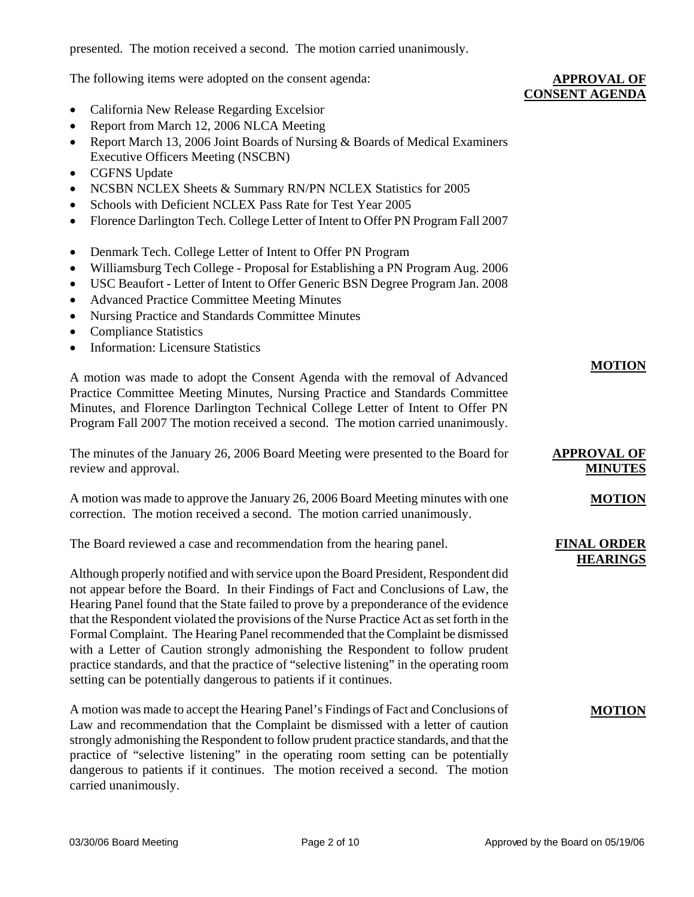presented. The motion received a second. The motion carried unanimously.

The following items were adopted on the consent agenda:

- California New Release Regarding Excelsior
- Report from March 12, 2006 NLCA Meeting
- Report March 13, 2006 Joint Boards of Nursing & Boards of Medical Examiners Executive Officers Meeting (NSCBN)
- CGFNS Update
- NCSBN NCLEX Sheets & Summary RN/PN NCLEX Statistics for 2005
- Schools with Deficient NCLEX Pass Rate for Test Year 2005
- Florence Darlington Tech. College Letter of Intent to Offer PN Program Fall 2007
- Denmark Tech. College Letter of Intent to Offer PN Program
- Williamsburg Tech College Proposal for Establishing a PN Program Aug. 2006
- USC Beaufort Letter of Intent to Offer Generic BSN Degree Program Jan. 2008
- Advanced Practice Committee Meeting Minutes
- Nursing Practice and Standards Committee Minutes
- Compliance Statistics
- Information: Licensure Statistics

A motion was made to adopt the Consent Agenda with the removal of Advanced Practice Committee Meeting Minutes, Nursing Practice and Standards Committee Minutes, and Florence Darlington Technical College Letter of Intent to Offer PN Program Fall 2007 The motion received a second. The motion carried unanimously.

The minutes of the January 26, 2006 Board Meeting were presented to the Board for review and approval.

A motion was made to approve the January 26, 2006 Board Meeting minutes with one correction. The motion received a second. The motion carried unanimously.

The Board reviewed a case and recommendation from the hearing panel.

Although properly notified and with service upon the Board President, Respondent did not appear before the Board. In their Findings of Fact and Conclusions of Law, the Hearing Panel found that the State failed to prove by a preponderance of the evidence that the Respondent violated the provisions of the Nurse Practice Act as set forth in the Formal Complaint. The Hearing Panel recommended that the Complaint be dismissed with a Letter of Caution strongly admonishing the Respondent to follow prudent practice standards, and that the practice of "selective listening" in the operating room setting can be potentially dangerous to patients if it continues.

A motion was made to accept the Hearing Panel's Findings of Fact and Conclusions of Law and recommendation that the Complaint be dismissed with a letter of caution strongly admonishing the Respondent to follow prudent practice standards, and that the practice of "selective listening" in the operating room setting can be potentially dangerous to patients if it continues. The motion received a second. The motion carried unanimously.

#### **APPROVAL OF CONSENT AGENDA**

**MOTION**

**MOTION**

**MOTION**

**APPROVAL OF MINUTES**

**FINAL ORDER HEARINGS**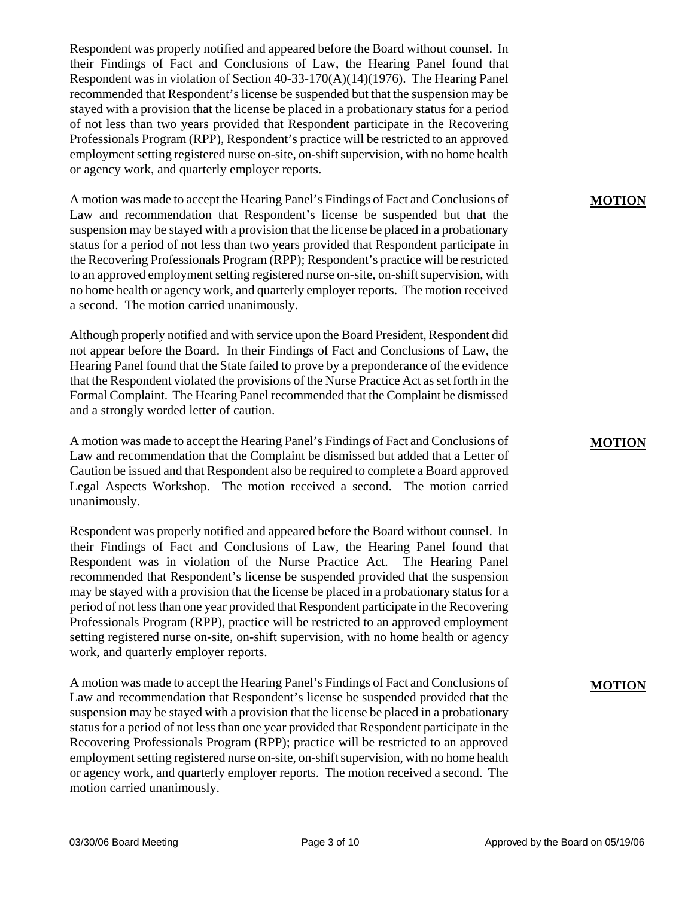Respondent was properly notified and appeared before the Board without counsel. In their Findings of Fact and Conclusions of Law, the Hearing Panel found that Respondent was in violation of Section 40-33-170(A)(14)(1976). The Hearing Panel recommended that Respondent's license be suspended but that the suspension may be stayed with a provision that the license be placed in a probationary status for a period of not less than two years provided that Respondent participate in the Recovering Professionals Program (RPP), Respondent's practice will be restricted to an approved employment setting registered nurse on-site, on-shift supervision, with no home health or agency work, and quarterly employer reports.

A motion was made to accept the Hearing Panel's Findings of Fact and Conclusions of Law and recommendation that Respondent's license be suspended but that the suspension may be stayed with a provision that the license be placed in a probationary status for a period of not less than two years provided that Respondent participate in the Recovering Professionals Program (RPP); Respondent's practice will be restricted to an approved employment setting registered nurse on-site, on-shift supervision, with no home health or agency work, and quarterly employer reports. The motion received a second. The motion carried unanimously.

Although properly notified and with service upon the Board President, Respondent did not appear before the Board. In their Findings of Fact and Conclusions of Law, the Hearing Panel found that the State failed to prove by a preponderance of the evidence that the Respondent violated the provisions of the Nurse Practice Act as set forth in the Formal Complaint. The Hearing Panel recommended that the Complaint be dismissed and a strongly worded letter of caution.

A motion was made to accept the Hearing Panel's Findings of Fact and Conclusions of Law and recommendation that the Complaint be dismissed but added that a Letter of Caution be issued and that Respondent also be required to complete a Board approved Legal Aspects Workshop. The motion received a second. The motion carried unanimously.

Respondent was properly notified and appeared before the Board without counsel. In their Findings of Fact and Conclusions of Law, the Hearing Panel found that Respondent was in violation of the Nurse Practice Act. The Hearing Panel recommended that Respondent's license be suspended provided that the suspension may be stayed with a provision that the license be placed in a probationary status for a period of not less than one year provided that Respondent participate in the Recovering Professionals Program (RPP), practice will be restricted to an approved employment setting registered nurse on-site, on-shift supervision, with no home health or agency work, and quarterly employer reports.

A motion was made to accept the Hearing Panel's Findings of Fact and Conclusions of Law and recommendation that Respondent's license be suspended provided that the suspension may be stayed with a provision that the license be placed in a probationary status for a period of not less than one year provided that Respondent participate in the Recovering Professionals Program (RPP); practice will be restricted to an approved employment setting registered nurse on-site, on-shift supervision, with no home health or agency work, and quarterly employer reports. The motion received a second. The motion carried unanimously.

**MOTION**

#### **MOTION**

#### **MOTION**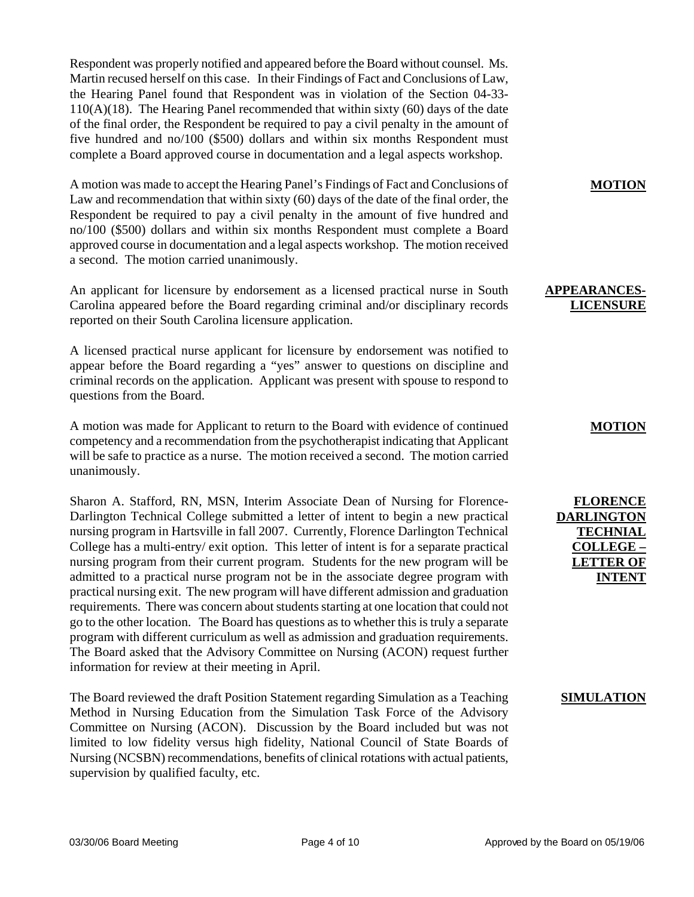Respondent was properly notified and appeared before the Board without counsel. Ms. Martin recused herself on this case. In their Findings of Fact and Conclusions of Law, the Hearing Panel found that Respondent was in violation of the Section 04-33-  $110(A)(18)$ . The Hearing Panel recommended that within sixty (60) days of the date of the final order, the Respondent be required to pay a civil penalty in the amount of five hundred and no/100 (\$500) dollars and within six months Respondent must complete a Board approved course in documentation and a legal aspects workshop.

A motion was made to accept the Hearing Panel's Findings of Fact and Conclusions of Law and recommendation that within sixty (60) days of the date of the final order, the Respondent be required to pay a civil penalty in the amount of five hundred and no/100 (\$500) dollars and within six months Respondent must complete a Board approved course in documentation and a legal aspects workshop. The motion received a second. The motion carried unanimously.

An applicant for licensure by endorsement as a licensed practical nurse in South Carolina appeared before the Board regarding criminal and/or disciplinary records reported on their South Carolina licensure application.

A licensed practical nurse applicant for licensure by endorsement was notified to appear before the Board regarding a "yes" answer to questions on discipline and criminal records on the application. Applicant was present with spouse to respond to questions from the Board.

A motion was made for Applicant to return to the Board with evidence of continued competency and a recommendation from the psychotherapist indicating that Applicant will be safe to practice as a nurse. The motion received a second. The motion carried unanimously.

Sharon A. Stafford, RN, MSN, Interim Associate Dean of Nursing for Florence-Darlington Technical College submitted a letter of intent to begin a new practical nursing program in Hartsville in fall 2007. Currently, Florence Darlington Technical College has a multi-entry/ exit option. This letter of intent is for a separate practical nursing program from their current program. Students for the new program will be admitted to a practical nurse program not be in the associate degree program with practical nursing exit. The new program will have different admission and graduation requirements. There was concern about students starting at one location that could not go to the other location. The Board has questions as to whether this is truly a separate program with different curriculum as well as admission and graduation requirements. The Board asked that the Advisory Committee on Nursing (ACON) request further information for review at their meeting in April.

The Board reviewed the draft Position Statement regarding Simulation as a Teaching Method in Nursing Education from the Simulation Task Force of the Advisory Committee on Nursing (ACON). Discussion by the Board included but was not limited to low fidelity versus high fidelity, National Council of State Boards of Nursing (NCSBN) recommendations, benefits of clinical rotations with actual patients, supervision by qualified faculty, etc.

**MOTION**

### **APPEARANCES-LICENSURE**

## **MOTION**

**FLORENCE DARLINGTON TECHNIAL COLLEGE – LETTER OF INTENT**

## **SIMULATION**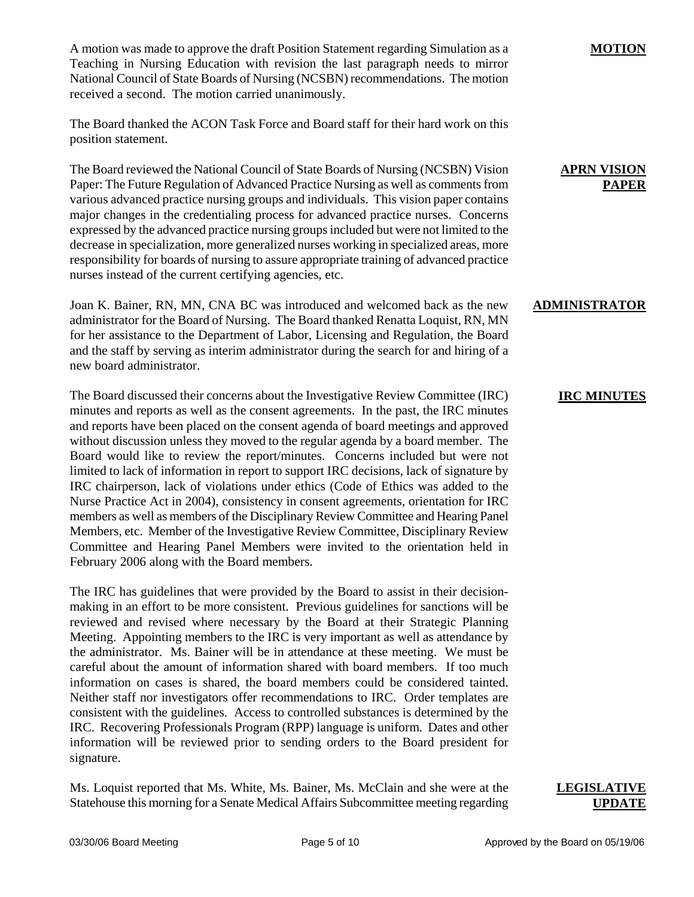A motion was made to approve the draft Position Statement regarding Simulation as a Teaching in Nursing Education with revision the last paragraph needs to mirror National Council of State Boards of Nursing (NCSBN) recommendations. The motion received a second. The motion carried unanimously.

The Board thanked the ACON Task Force and Board staff for their hard work on this position statement.

The Board reviewed the National Council of State Boards of Nursing (NCSBN) Vision Paper: The Future Regulation of Advanced Practice Nursing as well as comments from various advanced practice nursing groups and individuals. This vision paper contains major changes in the credentialing process for advanced practice nurses. Concerns expressed by the advanced practice nursing groups included but were not limited to the decrease in specialization, more generalized nurses working in specialized areas, more responsibility for boards of nursing to assure appropriate training of advanced practice nurses instead of the current certifying agencies, etc.

Joan K. Bainer, RN, MN, CNA BC was introduced and welcomed back as the new administrator for the Board of Nursing. The Board thanked Renatta Loquist, RN, MN for her assistance to the Department of Labor, Licensing and Regulation, the Board and the staff by serving as interim administrator during the search for and hiring of a new board administrator.

The Board discussed their concerns about the Investigative Review Committee (IRC) minutes and reports as well as the consent agreements. In the past, the IRC minutes and reports have been placed on the consent agenda of board meetings and approved without discussion unless they moved to the regular agenda by a board member. The Board would like to review the report/minutes. Concerns included but were not limited to lack of information in report to support IRC decisions, lack of signature by IRC chairperson, lack of violations under ethics (Code of Ethics was added to the Nurse Practice Act in 2004), consistency in consent agreements, orientation for IRC members as well as members of the Disciplinary Review Committee and Hearing Panel Members, etc. Member of the Investigative Review Committee, Disciplinary Review Committee and Hearing Panel Members were invited to the orientation held in February 2006 along with the Board members.

The IRC has guidelines that were provided by the Board to assist in their decisionmaking in an effort to be more consistent. Previous guidelines for sanctions will be reviewed and revised where necessary by the Board at their Strategic Planning Meeting. Appointing members to the IRC is very important as well as attendance by the administrator. Ms. Bainer will be in attendance at these meeting. We must be careful about the amount of information shared with board members. If too much information on cases is shared, the board members could be considered tainted. Neither staff nor investigators offer recommendations to IRC. Order templates are consistent with the guidelines. Access to controlled substances is determined by the IRC. Recovering Professionals Program (RPP) language is uniform. Dates and other information will be reviewed prior to sending orders to the Board president for signature.

Ms. Loquist reported that Ms. White, Ms. Bainer, Ms. McClain and she were at the Statehouse this morning for a Senate Medical Affairs Subcommittee meeting regarding

#### **MOTION**

## **APRN VISION PAPER**

## **ADMINISTRATOR**

# **IRC MINUTES**

## **LEGISLATIVE UPDATE**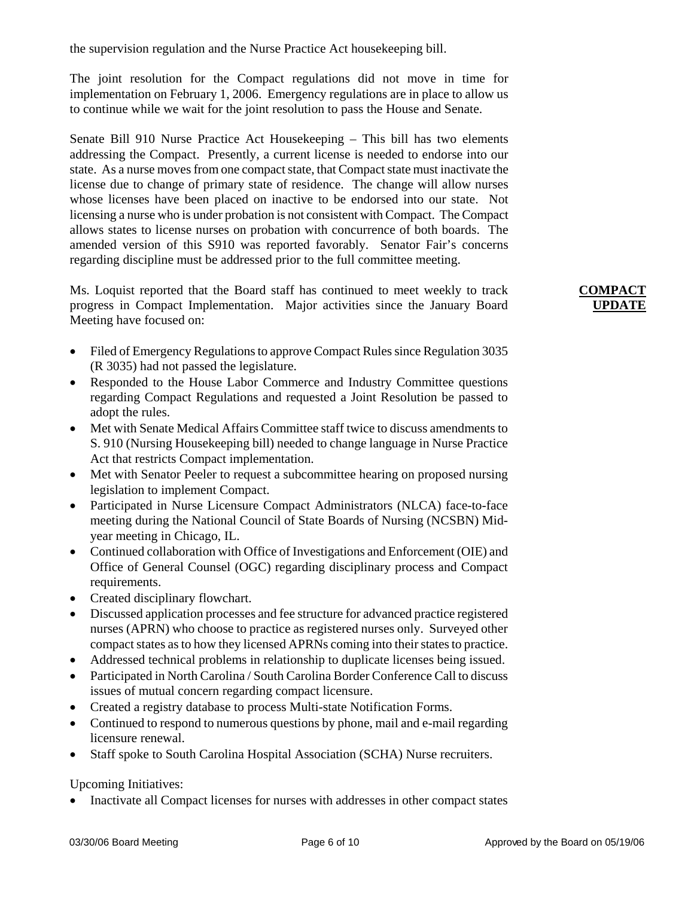the supervision regulation and the Nurse Practice Act housekeeping bill.

The joint resolution for the Compact regulations did not move in time for implementation on February 1, 2006. Emergency regulations are in place to allow us to continue while we wait for the joint resolution to pass the House and Senate.

Senate Bill 910 Nurse Practice Act Housekeeping – This bill has two elements addressing the Compact. Presently, a current license is needed to endorse into our state. As a nurse moves from one compact state, that Compact state must inactivate the license due to change of primary state of residence. The change will allow nurses whose licenses have been placed on inactive to be endorsed into our state. Not licensing a nurse who is under probation is not consistent with Compact. The Compact allows states to license nurses on probation with concurrence of both boards. The amended version of this S910 was reported favorably. Senator Fair's concerns regarding discipline must be addressed prior to the full committee meeting.

Ms. Loquist reported that the Board staff has continued to meet weekly to track progress in Compact Implementation. Major activities since the January Board Meeting have focused on:

- Filed of Emergency Regulations to approve Compact Rules since Regulation 3035 (R 3035) had not passed the legislature.
- Responded to the House Labor Commerce and Industry Committee questions regarding Compact Regulations and requested a Joint Resolution be passed to adopt the rules.
- Met with Senate Medical Affairs Committee staff twice to discuss amendments to S. 910 (Nursing Housekeeping bill) needed to change language in Nurse Practice Act that restricts Compact implementation.
- Met with Senator Peeler to request a subcommittee hearing on proposed nursing legislation to implement Compact.
- Participated in Nurse Licensure Compact Administrators (NLCA) face-to-face meeting during the National Council of State Boards of Nursing (NCSBN) Midyear meeting in Chicago, IL.
- Continued collaboration with Office of Investigations and Enforcement (OIE) and Office of General Counsel (OGC) regarding disciplinary process and Compact requirements.
- Created disciplinary flowchart.
- Discussed application processes and fee structure for advanced practice registered nurses (APRN) who choose to practice as registered nurses only. Surveyed other compact states as to how they licensed APRNs coming into their states to practice.
- Addressed technical problems in relationship to duplicate licenses being issued.
- Participated in North Carolina / South Carolina Border Conference Call to discuss issues of mutual concern regarding compact licensure.
- Created a registry database to process Multi-state Notification Forms.
- Continued to respond to numerous questions by phone, mail and e-mail regarding licensure renewal.
- Staff spoke to South Carolina Hospital Association (SCHA) Nurse recruiters.

Upcoming Initiatives:

• Inactivate all Compact licenses for nurses with addresses in other compact states

# **COMPACT UPDATE**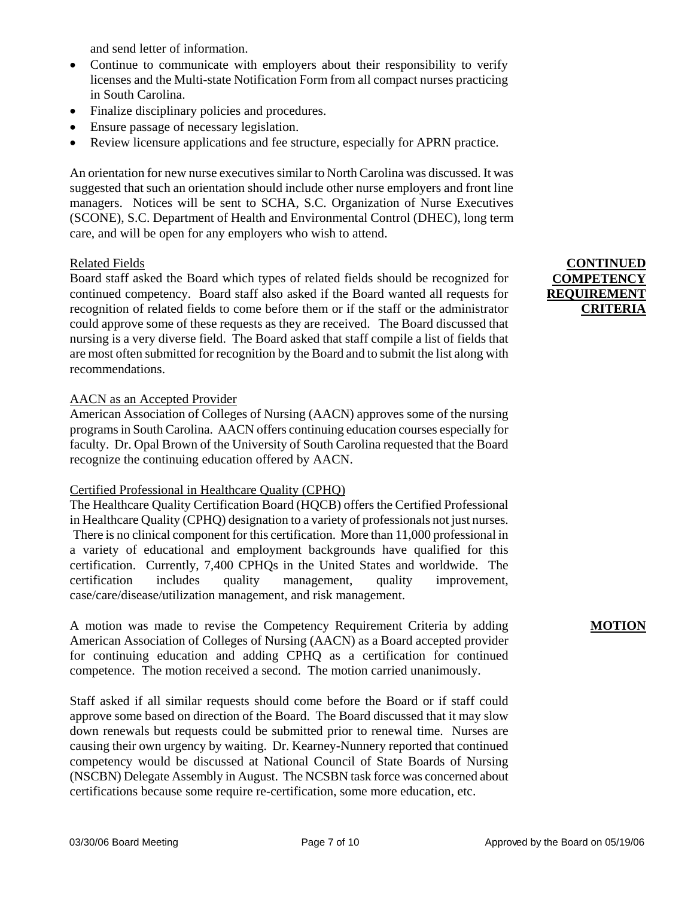and send letter of information.

- Continue to communicate with employers about their responsibility to verify licenses and the Multi-state Notification Form from all compact nurses practicing in South Carolina.
- Finalize disciplinary policies and procedures.
- Ensure passage of necessary legislation.
- Review licensure applications and fee structure, especially for APRN practice.

An orientation for new nurse executives similar to North Carolina was discussed. It was suggested that such an orientation should include other nurse employers and front line managers. Notices will be sent to SCHA, S.C. Organization of Nurse Executives (SCONE), S.C. Department of Health and Environmental Control (DHEC), long term care, and will be open for any employers who wish to attend.

#### Related Fields

Board staff asked the Board which types of related fields should be recognized for continued competency. Board staff also asked if the Board wanted all requests for recognition of related fields to come before them or if the staff or the administrator could approve some of these requests as they are received. The Board discussed that nursing is a very diverse field. The Board asked that staff compile a list of fields that are most often submitted for recognition by the Board and to submit the list along with recommendations.

#### AACN as an Accepted Provider

American Association of Colleges of Nursing (AACN) approves some of the nursing programs in South Carolina. AACN offers continuing education courses especially for faculty. Dr. Opal Brown of the University of South Carolina requested that the Board recognize the continuing education offered by AACN.

#### Certified Professional in Healthcare Quality (CPHQ)

The Healthcare Quality Certification Board (HQCB) offers the Certified Professional in Healthcare Quality (CPHQ) designation to a variety of professionals not just nurses. There is no clinical component for this certification. More than 11,000 professional in a variety of educational and employment backgrounds have qualified for this certification. Currently, 7,400 CPHQs in the United States and worldwide. The certification includes quality management, quality improvement, case/care/disease/utilization management, and risk management.

A motion was made to revise the Competency Requirement Criteria by adding American Association of Colleges of Nursing (AACN) as a Board accepted provider for continuing education and adding CPHQ as a certification for continued competence. The motion received a second. The motion carried unanimously.

Staff asked if all similar requests should come before the Board or if staff could approve some based on direction of the Board. The Board discussed that it may slow down renewals but requests could be submitted prior to renewal time. Nurses are causing their own urgency by waiting. Dr. Kearney-Nunnery reported that continued competency would be discussed at National Council of State Boards of Nursing (NSCBN) Delegate Assembly in August. The NCSBN task force was concerned about certifications because some require re-certification, some more education, etc.

# **CONTINUED COMPETENCY REQUIREMENT CRITERIA**

## **MOTION**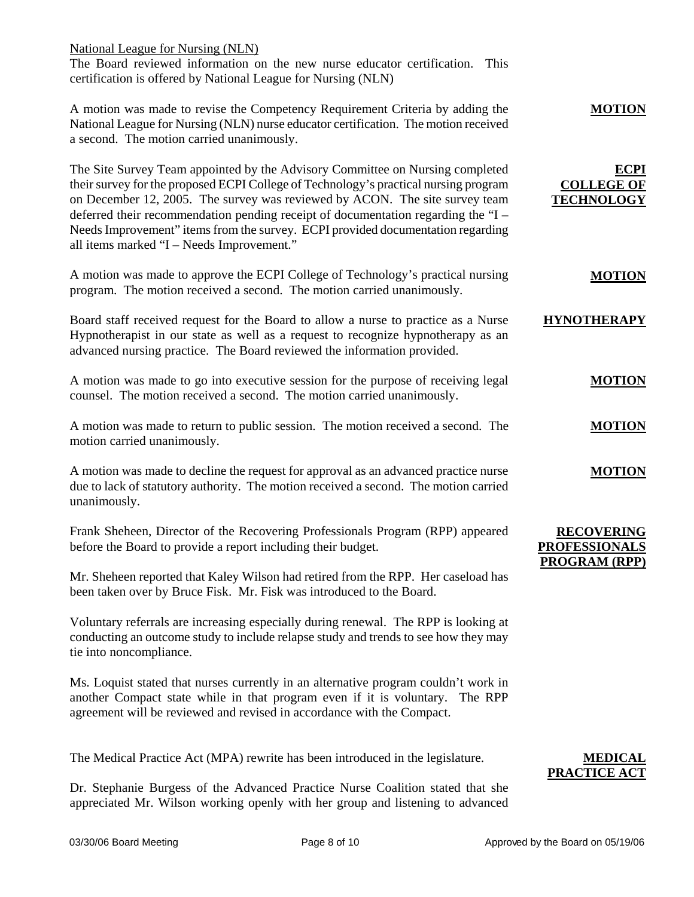National League for Nursing (NLN) The Board reviewed information on the new nurse educator certification. This certification is offered by National League for Nursing (NLN)

| <b>MOTION</b>                                         | A motion was made to revise the Competency Requirement Criteria by adding the<br>National League for Nursing (NLN) nurse educator certification. The motion received<br>a second. The motion carried unanimously.                                                                                                                                                                                                                                                         |
|-------------------------------------------------------|---------------------------------------------------------------------------------------------------------------------------------------------------------------------------------------------------------------------------------------------------------------------------------------------------------------------------------------------------------------------------------------------------------------------------------------------------------------------------|
| <b>ECPI</b><br><b>COLLEGE OF</b><br><b>TECHNOLOGY</b> | The Site Survey Team appointed by the Advisory Committee on Nursing completed<br>their survey for the proposed ECPI College of Technology's practical nursing program<br>on December 12, 2005. The survey was reviewed by ACON. The site survey team<br>deferred their recommendation pending receipt of documentation regarding the "I -<br>Needs Improvement" items from the survey. ECPI provided documentation regarding<br>all items marked "I - Needs Improvement." |
| <b>MOTION</b>                                         | A motion was made to approve the ECPI College of Technology's practical nursing<br>program. The motion received a second. The motion carried unanimously.                                                                                                                                                                                                                                                                                                                 |
| <b>HYNOTHERAPY</b>                                    | Board staff received request for the Board to allow a nurse to practice as a Nurse<br>Hypnotherapist in our state as well as a request to recognize hypnotherapy as an<br>advanced nursing practice. The Board reviewed the information provided.                                                                                                                                                                                                                         |
| <b>MOTION</b>                                         | A motion was made to go into executive session for the purpose of receiving legal<br>counsel. The motion received a second. The motion carried unanimously.                                                                                                                                                                                                                                                                                                               |
| <b>MOTION</b>                                         | A motion was made to return to public session. The motion received a second. The<br>motion carried unanimously.                                                                                                                                                                                                                                                                                                                                                           |
| <b>MOTION</b>                                         | A motion was made to decline the request for approval as an advanced practice nurse<br>due to lack of statutory authority. The motion received a second. The motion carried<br>unanimously.                                                                                                                                                                                                                                                                               |
| <b>RECOVERING</b><br><b>PROFESSIONALS</b>             | Frank Sheheen, Director of the Recovering Professionals Program (RPP) appeared<br>before the Board to provide a report including their budget.                                                                                                                                                                                                                                                                                                                            |
| <b>PROGRAM (RPP)</b>                                  | Mr. Sheheen reported that Kaley Wilson had retired from the RPP. Her caseload has<br>been taken over by Bruce Fisk. Mr. Fisk was introduced to the Board.                                                                                                                                                                                                                                                                                                                 |
|                                                       | Voluntary referrals are increasing especially during renewal. The RPP is looking at<br>conducting an outcome study to include relapse study and trends to see how they may<br>tie into noncompliance.                                                                                                                                                                                                                                                                     |
|                                                       | Ms. Loquist stated that nurses currently in an alternative program couldn't work in<br>another Compact state while in that program even if it is voluntary.<br>The RPP<br>agreement will be reviewed and revised in accordance with the Compact.                                                                                                                                                                                                                          |
|                                                       |                                                                                                                                                                                                                                                                                                                                                                                                                                                                           |

The Medical Practice Act (MPA) rewrite has been introduced in the legislature.

Dr. Stephanie Burgess of the Advanced Practice Nurse Coalition stated that she appreciated Mr. Wilson working openly with her group and listening to advanced

# **MEDICAL PRACTICE ACT**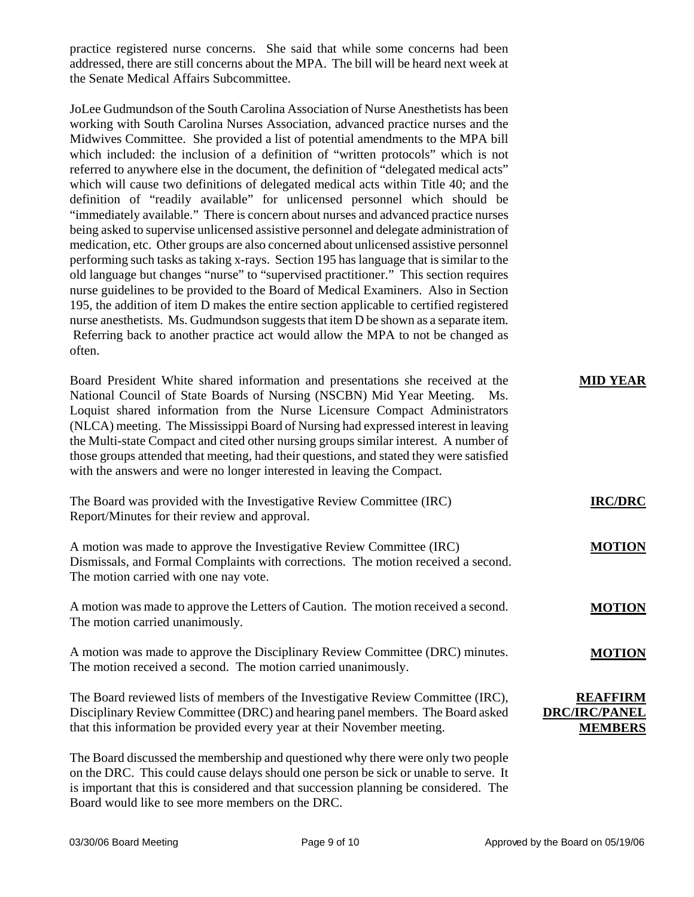practice registered nurse concerns. She said that while some concerns had been addressed, there are still concerns about the MPA. The bill will be heard next week at the Senate Medical Affairs Subcommittee.

JoLee Gudmundson of the South Carolina Association of Nurse Anesthetists has been working with South Carolina Nurses Association, advanced practice nurses and the Midwives Committee. She provided a list of potential amendments to the MPA bill which included: the inclusion of a definition of "written protocols" which is not referred to anywhere else in the document, the definition of "delegated medical acts" which will cause two definitions of delegated medical acts within Title 40; and the definition of "readily available" for unlicensed personnel which should be "immediately available." There is concern about nurses and advanced practice nurses being asked to supervise unlicensed assistive personnel and delegate administration of medication, etc. Other groups are also concerned about unlicensed assistive personnel performing such tasks as taking x-rays. Section 195 has language that is similar to the old language but changes "nurse" to "supervised practitioner." This section requires nurse guidelines to be provided to the Board of Medical Examiners. Also in Section 195, the addition of item D makes the entire section applicable to certified registered nurse anesthetists. Ms. Gudmundson suggests that item D be shown as a separate item. Referring back to another practice act would allow the MPA to not be changed as often.

| Board President White shared information and presentations she received at the<br>National Council of State Boards of Nursing (NSCBN) Mid Year Meeting. Ms.<br>Loquist shared information from the Nurse Licensure Compact Administrators<br>(NLCA) meeting. The Mississippi Board of Nursing had expressed interest in leaving<br>the Multi-state Compact and cited other nursing groups similar interest. A number of<br>those groups attended that meeting, had their questions, and stated they were satisfied<br>with the answers and were no longer interested in leaving the Compact. | <b>MID YEAR</b>                                           |
|----------------------------------------------------------------------------------------------------------------------------------------------------------------------------------------------------------------------------------------------------------------------------------------------------------------------------------------------------------------------------------------------------------------------------------------------------------------------------------------------------------------------------------------------------------------------------------------------|-----------------------------------------------------------|
| The Board was provided with the Investigative Review Committee (IRC)<br>Report/Minutes for their review and approval.                                                                                                                                                                                                                                                                                                                                                                                                                                                                        | <b>IRC/DRC</b>                                            |
| A motion was made to approve the Investigative Review Committee (IRC)<br>Dismissals, and Formal Complaints with corrections. The motion received a second.<br>The motion carried with one nay vote.                                                                                                                                                                                                                                                                                                                                                                                          | <b>MOTION</b>                                             |
| A motion was made to approve the Letters of Caution. The motion received a second.<br>The motion carried unanimously.                                                                                                                                                                                                                                                                                                                                                                                                                                                                        | <b>MOTION</b>                                             |
| A motion was made to approve the Disciplinary Review Committee (DRC) minutes.<br>The motion received a second. The motion carried unanimously.                                                                                                                                                                                                                                                                                                                                                                                                                                               | <b>MOTION</b>                                             |
| The Board reviewed lists of members of the Investigative Review Committee (IRC),<br>Disciplinary Review Committee (DRC) and hearing panel members. The Board asked<br>that this information be provided every year at their November meeting.                                                                                                                                                                                                                                                                                                                                                | <b>REAFFIRM</b><br><b>DRC/IRC/PANEL</b><br><b>MEMBERS</b> |
| The Board discussed the membership and questioned why there were only two people<br>on the DRC. This could cause delays should one person be sick or unable to serve. It<br>is important that this is considered and that succession planning be considered. The                                                                                                                                                                                                                                                                                                                             |                                                           |

Board would like to see more members on the DRC.